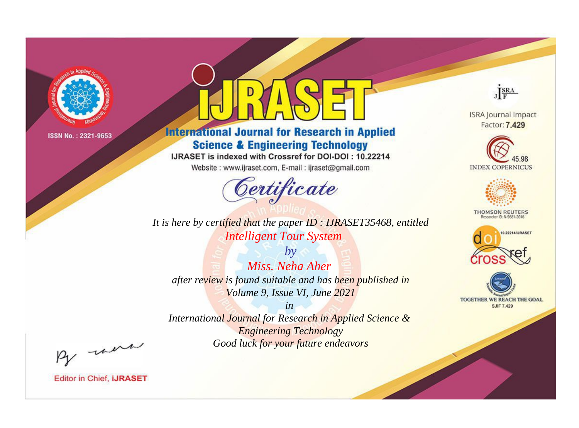

# **International Journal for Research in Applied Science & Engineering Technology**

IJRASET is indexed with Crossref for DOI-DOI: 10.22214

Website: www.ijraset.com, E-mail: ijraset@gmail.com



**ISRA Journal Impact** Factor: 7.429

JERA





**THOMSON REUTERS** 



TOGETHER WE REACH THE GOAL **SJIF 7.429** 

*It is here by certified that the paper ID : IJRASET35468, entitled Intelligent Tour System*

*by Miss. Neha Aher after review is found suitable and has been published in Volume 9, Issue VI, June 2021*

*in* 

*International Journal for Research in Applied Science & Engineering Technology Good luck for your future endeavors*

By morn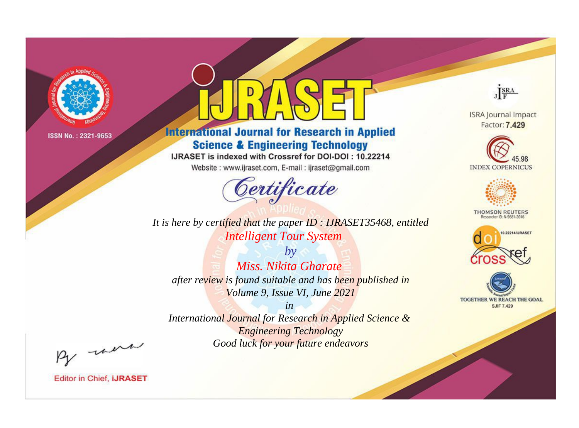

# **International Journal for Research in Applied Science & Engineering Technology**

IJRASET is indexed with Crossref for DOI-DOI: 10.22214

Website: www.ijraset.com, E-mail: ijraset@gmail.com



JERA

**ISRA Journal Impact** Factor: 7.429





**THOMSON REUTERS** 



TOGETHER WE REACH THE GOAL **SJIF 7.429** 

*It is here by certified that the paper ID : IJRASET35468, entitled Intelligent Tour System*

*by Miss. Nikita Gharate after review is found suitable and has been published in Volume 9, Issue VI, June 2021*

*in* 

*International Journal for Research in Applied Science & Engineering Technology Good luck for your future endeavors*

By morn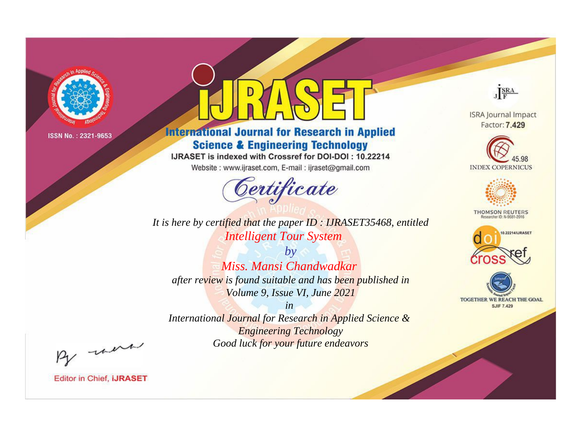

# **International Journal for Research in Applied Science & Engineering Technology**

IJRASET is indexed with Crossref for DOI-DOI: 10.22214

Website: www.ijraset.com, E-mail: ijraset@gmail.com



JERA

**ISRA Journal Impact** Factor: 7.429





**THOMSON REUTERS** 



TOGETHER WE REACH THE GOAL **SJIF 7.429** 

*It is here by certified that the paper ID : IJRASET35468, entitled Intelligent Tour System*

*by Miss. Mansi Chandwadkar after review is found suitable and has been published in Volume 9, Issue VI, June 2021*

*in* 

*International Journal for Research in Applied Science & Engineering Technology Good luck for your future endeavors*

By morn